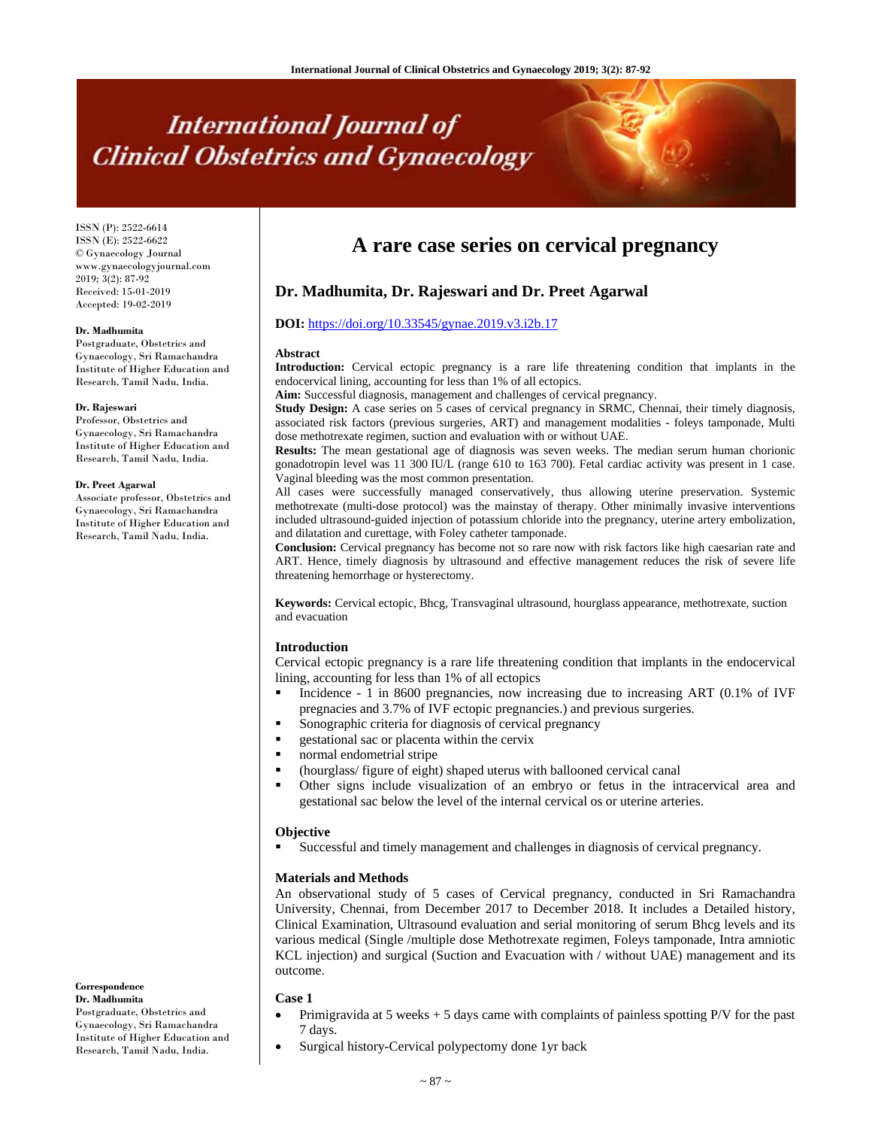# **International Journal of Clinical Obstetrics and Gynaecology**

ISSN (P): 2522-6614 ISSN (E): 2522-6622 © Gynaecology Journal www.gynaecologyjournal.com 2019; 3(2): 87-92 Received: 15-01-2019 Accepted: 19-02-2019

#### **Dr. Madhumita**

Postgraduate, Obstetrics and Gynaecology, Sri Ramachandra Institute of Higher Education and Research, Tamil Nadu, India.

# **Dr. Rajeswari**

Professor, Obstetrics and Gynaecology, Sri Ramachandra Institute of Higher Education and Research, Tamil Nadu, India.

# **Dr. Preet Agarwal**

**Correspondence Dr. Madhumita**

Postgraduate, Obstetrics and Gynaecology, Sri Ramachandra Institute of Higher Education and Research, Tamil Nadu, India.

Associate professor, Obstetrics and Gynaecology, Sri Ramachandra Institute of Higher Education and Research, Tamil Nadu, India.

# **A rare case series on cervical pregnancy**

# **Dr. Madhumita, Dr. Rajeswari and Dr. Preet Agarwal**

# **DOI:** https://doi.org/10.33545/gynae.2019.v3.i2b.17

#### **Abstract**

**Introduction:** Cervical ectopic pregnancy is a rare life threatening condition that implants in the endocervical lining, accounting for less than 1% of all ectopics.

**Aim:** Successful diagnosis, management and challenges of cervical pregnancy.

**Study Design:** A case series on 5 cases of cervical pregnancy in SRMC, Chennai, their timely diagnosis, associated risk factors (previous surgeries, ART) and management modalities - foleys tamponade, Multi dose methotrexate regimen, suction and evaluation with or without UAE.

**Results:** The mean gestational age of diagnosis was seven weeks. The median serum human chorionic gonadotropin level was 11 300 IU/L (range 610 to 163 700). Fetal cardiac activity was present in 1 case. Vaginal bleeding was the most common presentation.

All cases were successfully managed conservatively, thus allowing uterine preservation. Systemic methotrexate (multi-dose protocol) was the mainstay of therapy. Other minimally invasive interventions included ultrasound-guided injection of potassium chloride into the pregnancy, uterine artery embolization, and dilatation and curettage, with Foley catheter tamponade.

**Conclusion:** Cervical pregnancy has become not so rare now with risk factors like high caesarian rate and ART. Hence, timely diagnosis by ultrasound and effective management reduces the risk of severe life threatening hemorrhage or hysterectomy.

**Keywords:** Cervical ectopic, Bhcg, Transvaginal ultrasound, hourglass appearance, methotrexate, suction and evacuation

# **Introduction**

Cervical ectopic pregnancy is a rare life threatening condition that implants in the endocervical lining, accounting for less than 1% of all ectopics

- Incidence 1 in 8600 pregnancies, now increasing due to increasing ART (0.1% of IVF pregnacies and 3.7% of IVF ectopic pregnancies.) and previous surgeries.
- Sonographic criteria for diagnosis of cervical pregnancy
- gestational sac or placenta within the cervix
- normal endometrial stripe
- (hourglass/ figure of eight) shaped uterus with ballooned cervical canal
- Other signs include visualization of an embryo or fetus in the intracervical area and gestational sac below the level of the internal cervical os or uterine arteries.

#### **Objective**

Successful and timely management and challenges in diagnosis of cervical pregnancy.

# **Materials and Methods**

An observational study of 5 cases of Cervical pregnancy, conducted in Sri Ramachandra University, Chennai, from December 2017 to December 2018. It includes a Detailed history, Clinical Examination, Ultrasound evaluation and serial monitoring of serum Bhcg levels and its various medical (Single /multiple dose Methotrexate regimen, Foleys tamponade, Intra amniotic KCL injection) and surgical (Suction and Evacuation with / without UAE) management and its outcome.

#### **Case 1**

- Primigravida at 5 weeks  $+$  5 days came with complaints of painless spotting P/V for the past 7 days.
- Surgical history-Cervical polypectomy done 1yr back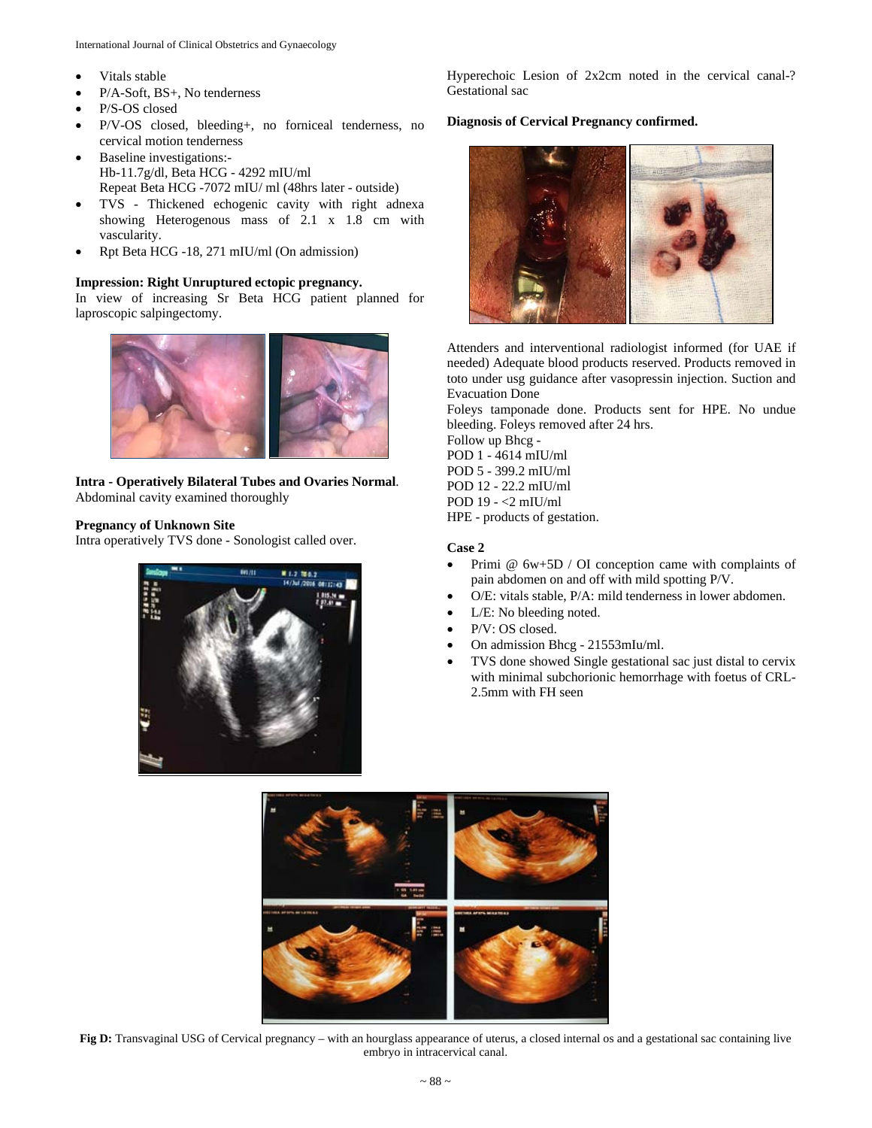- Vitals stable
- P/A-Soft, BS+, No tenderness
- P/S-OS closed
- P/V-OS closed, bleeding+, no forniceal tenderness, no cervical motion tenderness
- Baseline investigations:- Hb-11.7g/dl, Beta HCG - 4292 mIU/ml Repeat Beta HCG -7072 mIU/ ml (48hrs later - outside)
- TVS Thickened echogenic cavity with right adnexa showing Heterogenous mass of 2.1 x 1.8 cm with vascularity.
- Rpt Beta HCG -18, 271 mIU/ml (On admission)

# **Impression: Right Unruptured ectopic pregnancy.**

In view of increasing Sr Beta HCG patient planned for laproscopic salpingectomy.



**Intra - Operatively Bilateral Tubes and Ovaries Normal**. Abdominal cavity examined thoroughly

# **Pregnancy of Unknown Site**

Intra operatively TVS done - Sonologist called over.



Hyperechoic Lesion of 2x2cm noted in the cervical canal-? Gestational sac

# **Diagnosis of Cervical Pregnancy confirmed.**



Attenders and interventional radiologist informed (for UAE if needed) Adequate blood products reserved. Products removed in toto under usg guidance after vasopressin injection. Suction and Evacuation Done

Foleys tamponade done. Products sent for HPE. No undue bleeding. Foleys removed after 24 hrs.

Follow up Bhcg - POD 1 - 4614 mIU/ml POD 5 - 399.2 mIU/ml POD 12 - 22.2 mIU/ml POD 19 - <2 mIU/ml HPE - products of gestation.

# **Case 2**

- Primi  $@ 6w+5D / OI$  conception came with complaints of pain abdomen on and off with mild spotting P/V.
- O/E: vitals stable, P/A: mild tenderness in lower abdomen.
- L/E: No bleeding noted.
- P/V: OS closed.
- On admission Bhcg 21553mIu/ml.
- TVS done showed Single gestational sac just distal to cervix with minimal subchorionic hemorrhage with foetus of CRL-2.5mm with FH seen



**Fig D:** Transvaginal USG of Cervical pregnancy – with an hourglass appearance of uterus, a closed internal os and a gestational sac containing live embryo in intracervical canal.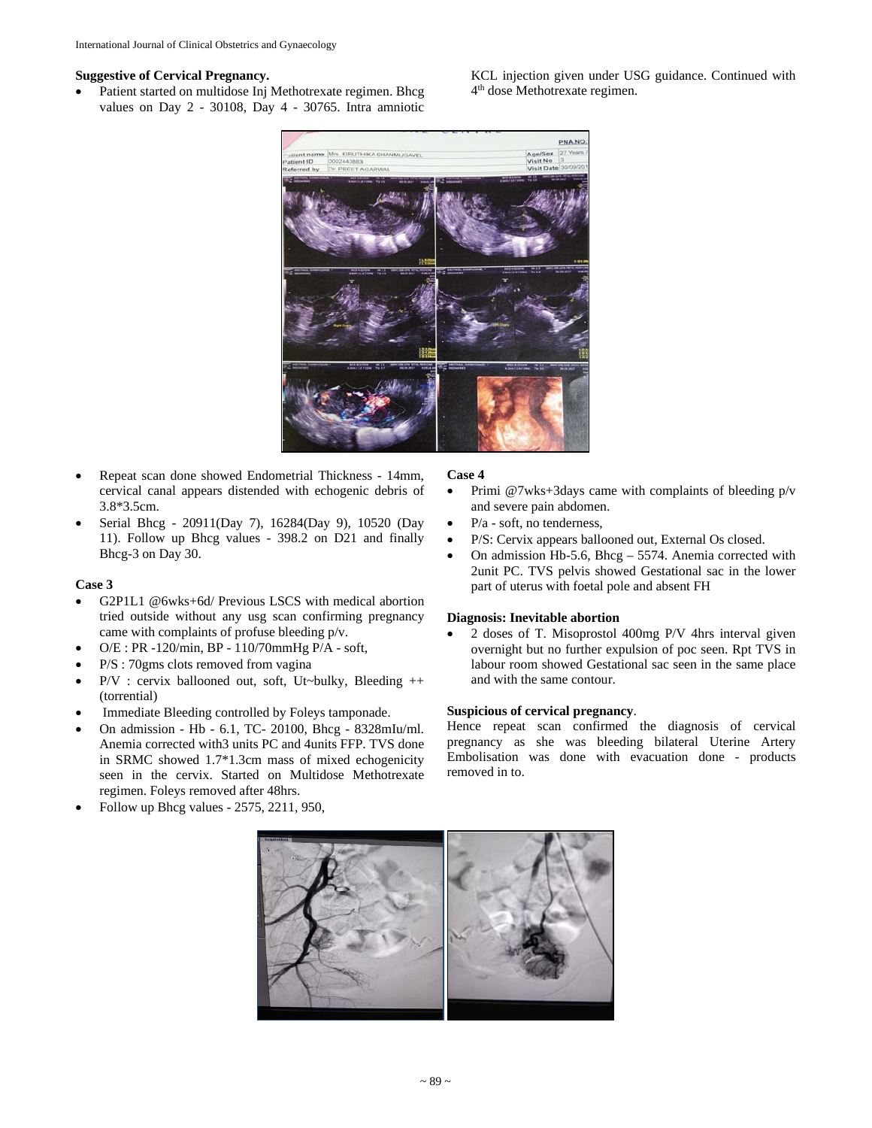# **Suggestive of Cervical Pregnancy.**

 Patient started on multidose Inj Methotrexate regimen. Bhcg values on Day 2 - 30108, Day 4 - 30765. Intra amniotic

PNA.NC

- Repeat scan done showed Endometrial Thickness 14mm, cervical canal appears distended with echogenic debris of 3.8\*3.5cm.
- Serial Bhcg 20911(Day 7), 16284(Day 9), 10520 (Day 11). Follow up Bhcg values - 398.2 on D21 and finally Bhcg-3 on Day 30.

# **Case 3**

- G2P1L1 @6wks+6d/ Previous LSCS with medical abortion tried outside without any usg scan confirming pregnancy came with complaints of profuse bleeding p/v.
- O/E : PR -120/min, BP 110/70mmHg P/A soft,
- P/S : 70gms clots removed from vagina
- P/V : cervix ballooned out, soft, Ut~bulky, Bleeding ++ (torrential)
- Immediate Bleeding controlled by Foleys tamponade.
- On admission Hb 6.1, TC- 20100, Bhcg 8328mIu/ml. Anemia corrected with3 units PC and 4units FFP. TVS done in SRMC showed 1.7\*1.3cm mass of mixed echogenicity seen in the cervix. Started on Multidose Methotrexate regimen. Foleys removed after 48hrs.
- Follow up Bhcg values 2575, 2211, 950,

# **Case 4**

- Primi  $@7wks+3days$  came with complaints of bleeding  $p/v$ and severe pain abdomen.
- $\bullet$  P/a soft, no tenderness,
- P/S: Cervix appears ballooned out, External Os closed.
- On admission Hb-5.6, Bhcg 5574. Anemia corrected with 2unit PC. TVS pelvis showed Gestational sac in the lower part of uterus with foetal pole and absent FH

# **Diagnosis: Inevitable abortion**

• 2 doses of T. Misoprostol 400mg P/V 4hrs interval given overnight but no further expulsion of poc seen. Rpt TVS in labour room showed Gestational sac seen in the same place and with the same contour.

Hence repeat scan confirmed the diagnosis of cervical pregnancy as she was bleeding bilateral Uterine Artery Embolisation was done with evacuation done - products



**Suspicious of cervical pregnancy**. removed in to.

KCL injection given under USG guidance. Continued with 4th dose Methotrexate regimen.

 $\begin{array}{c} \hline \end{array}$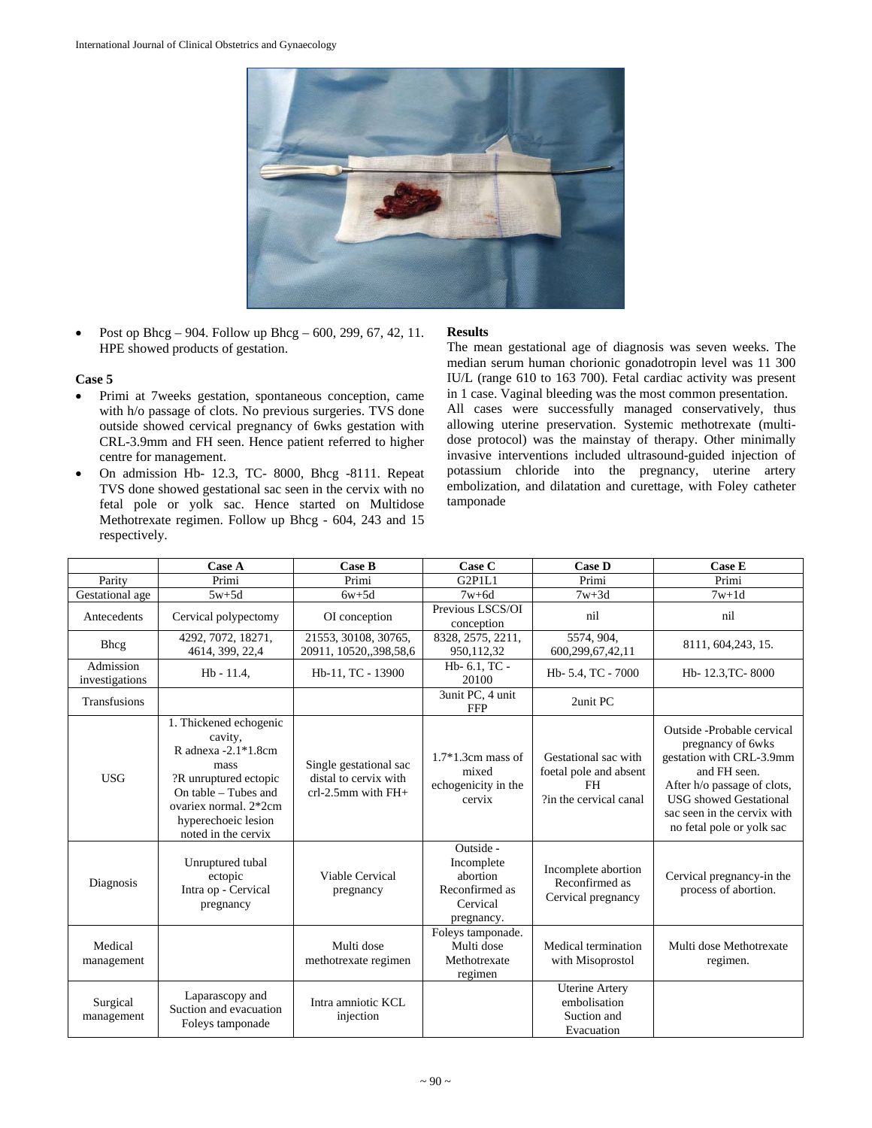

• Post op Bhcg – 904. Follow up Bhcg – 600, 299, 67, 42, 11. HPE showed products of gestation.

#### **Case 5**

- Primi at 7weeks gestation, spontaneous conception, came with h/o passage of clots. No previous surgeries. TVS done outside showed cervical pregnancy of 6wks gestation with CRL-3.9mm and FH seen. Hence patient referred to higher centre for management.
- On admission Hb- 12.3, TC- 8000, Bhcg -8111. Repeat TVS done showed gestational sac seen in the cervix with no fetal pole or yolk sac. Hence started on Multidose Methotrexate regimen. Follow up Bhcg - 604, 243 and 15 respectively.

# **Results**

The mean gestational age of diagnosis was seven weeks. The median serum human chorionic gonadotropin level was 11 300 IU/L (range 610 to 163 700). Fetal cardiac activity was present in 1 case. Vaginal bleeding was the most common presentation. All cases were successfully managed conservatively, thus allowing uterine preservation. Systemic methotrexate (multidose protocol) was the mainstay of therapy. Other minimally invasive interventions included ultrasound-guided injection of potassium chloride into the pregnancy, uterine artery embolization, and dilatation and curettage, with Foley catheter tamponade

|                             | Case A                                                                                                                                                                                     | <b>Case B</b>                                                             | Case C                                                                          | <b>Case D</b>                                                                         | <b>Case E</b>                                                                                                                                                                                                            |
|-----------------------------|--------------------------------------------------------------------------------------------------------------------------------------------------------------------------------------------|---------------------------------------------------------------------------|---------------------------------------------------------------------------------|---------------------------------------------------------------------------------------|--------------------------------------------------------------------------------------------------------------------------------------------------------------------------------------------------------------------------|
| Parity                      | Primi                                                                                                                                                                                      | Primi                                                                     | G2P1L1                                                                          | Primi                                                                                 | Primi                                                                                                                                                                                                                    |
| Gestational age             | $5w+5d$                                                                                                                                                                                    | $6w+5d$                                                                   | $7w+6d$                                                                         | $7w+3d$                                                                               | $7w+1d$                                                                                                                                                                                                                  |
| Antecedents                 | Cervical polypectomy                                                                                                                                                                       | OI conception                                                             | Previous LSCS/OI<br>conception                                                  | nil                                                                                   | nil                                                                                                                                                                                                                      |
| <b>Bhcg</b>                 | 4292, 7072, 18271,<br>4614, 399, 22,4                                                                                                                                                      | 21553, 30108, 30765,<br>20911, 10520, 398, 58, 6                          | 8328, 2575, 2211,<br>950,112,32                                                 | 5574, 904,<br>600,299,67,42,11                                                        | 8111, 604, 243, 15.                                                                                                                                                                                                      |
| Admission<br>investigations | $Hb - 11.4$ ,                                                                                                                                                                              | Hb-11, TC - 13900                                                         | Hb- 6.1, TC -<br>20100                                                          | Hb- 5.4, TC - 7000                                                                    | Hb- 12.3, TC- 8000                                                                                                                                                                                                       |
| Transfusions                |                                                                                                                                                                                            |                                                                           | 3unit PC, 4 unit<br><b>FFP</b>                                                  | 2unit PC                                                                              |                                                                                                                                                                                                                          |
| USG                         | 1. Thickened echogenic<br>cavity,<br>R adnexa $-2.1*1.8cm$<br>mass<br>?R unruptured ectopic<br>On table – Tubes and<br>ovariex normal. 2*2cm<br>hyperechoeic lesion<br>noted in the cervix | Single gestational sac<br>distal to cervix with<br>$crl-2.5mm$ with $FH+$ | $1.7*1.3cm$ mass of<br>mixed<br>echogenicity in the<br>cervix                   | Gestational sac with<br>foetal pole and absent<br><b>FH</b><br>?in the cervical canal | Outside - Probable cervical<br>pregnancy of 6wks<br>gestation with CRL-3.9mm<br>and FH seen.<br>After h/o passage of clots,<br><b>USG</b> showed Gestational<br>sac seen in the cervix with<br>no fetal pole or yolk sac |
| Diagnosis                   | Unruptured tubal<br>ectopic<br>Intra op - Cervical<br>pregnancy                                                                                                                            | Viable Cervical<br>pregnancy                                              | Outside -<br>Incomplete<br>abortion<br>Reconfirmed as<br>Cervical<br>pregnancy. | Incomplete abortion<br>Reconfirmed as<br>Cervical pregnancy                           | Cervical pregnancy-in the<br>process of abortion.                                                                                                                                                                        |
| Medical<br>management       |                                                                                                                                                                                            | Multi dose<br>methotrexate regimen                                        | Foleys tamponade.<br>Multi dose<br>Methotrexate<br>regimen                      | Medical termination<br>with Misoprostol                                               | Multi dose Methotrexate<br>regimen.                                                                                                                                                                                      |
| Surgical<br>management      | Laparascopy and<br>Suction and evacuation<br>Foleys tamponade                                                                                                                              | Intra amniotic KCL<br>injection                                           |                                                                                 | <b>Uterine Artery</b><br>embolisation<br>Suction and<br>Evacuation                    |                                                                                                                                                                                                                          |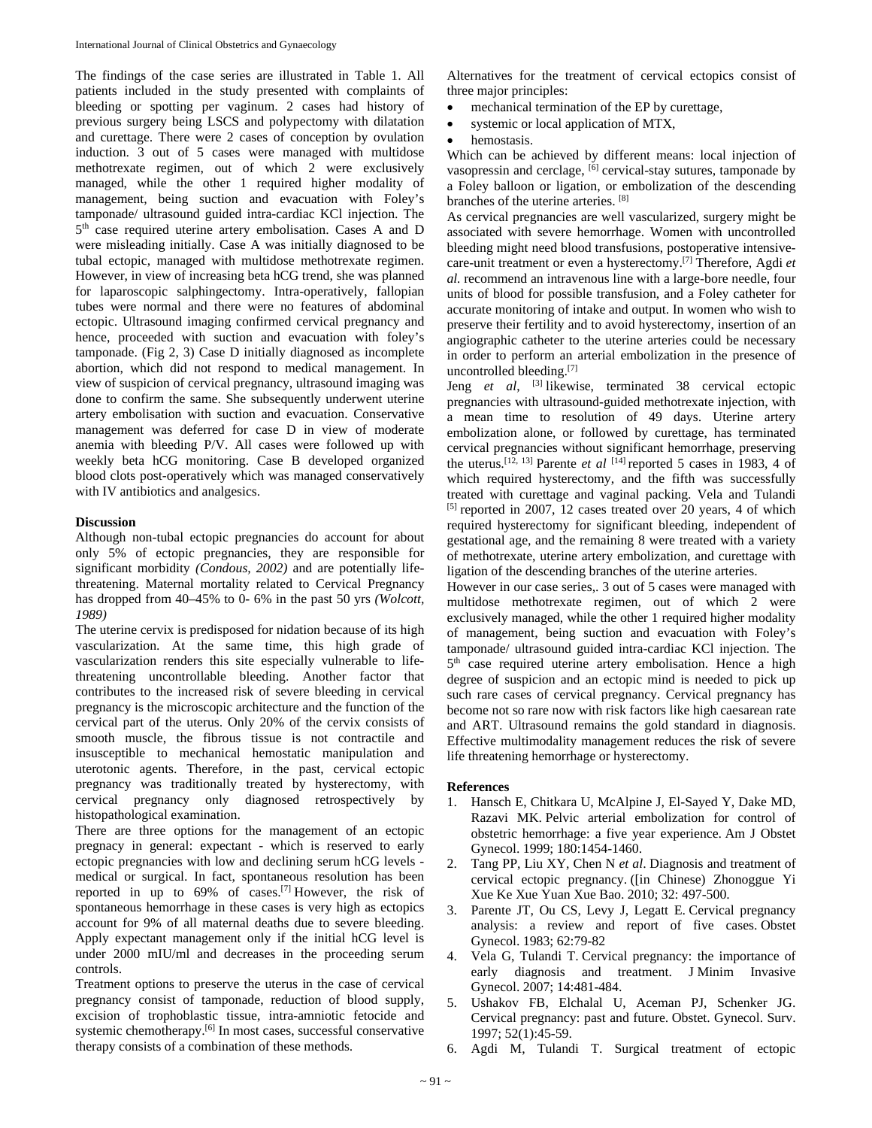The findings of the case series are illustrated in Table 1. All patients included in the study presented with complaints of bleeding or spotting per vaginum. 2 cases had history of previous surgery being LSCS and polypectomy with dilatation and curettage. There were 2 cases of conception by ovulation induction. 3 out of 5 cases were managed with multidose methotrexate regimen, out of which 2 were exclusively managed, while the other 1 required higher modality of management, being suction and evacuation with Foley's tamponade/ ultrasound guided intra-cardiac KCl injection. The 5<sup>th</sup> case required uterine artery embolisation. Cases A and D were misleading initially. Case A was initially diagnosed to be tubal ectopic, managed with multidose methotrexate regimen. However, in view of increasing beta hCG trend, she was planned for laparoscopic salphingectomy. Intra-operatively, fallopian tubes were normal and there were no features of abdominal ectopic. Ultrasound imaging confirmed cervical pregnancy and hence, proceeded with suction and evacuation with foley's tamponade. (Fig 2, 3) Case D initially diagnosed as incomplete abortion, which did not respond to medical management. In view of suspicion of cervical pregnancy, ultrasound imaging was done to confirm the same. She subsequently underwent uterine artery embolisation with suction and evacuation. Conservative management was deferred for case D in view of moderate anemia with bleeding P/V. All cases were followed up with weekly beta hCG monitoring. Case B developed organized blood clots post-operatively which was managed conservatively with IV antibiotics and analgesics.

# **Discussion**

Although non-tubal ectopic pregnancies do account for about only 5% of ectopic pregnancies, they are responsible for significant morbidity *(Condous, 2002)* and are potentially lifethreatening. Maternal mortality related to Cervical Pregnancy has dropped from 40–45% to 0- 6% in the past 50 yrs *(Wolcott, 1989)*

The uterine cervix is predisposed for nidation because of its high vascularization. At the same time, this high grade of vascularization renders this site especially vulnerable to lifethreatening uncontrollable bleeding. Another factor that contributes to the increased risk of severe bleeding in cervical pregnancy is the microscopic architecture and the function of the cervical part of the uterus. Only 20% of the cervix consists of smooth muscle, the fibrous tissue is not contractile and insusceptible to mechanical hemostatic manipulation and uterotonic agents. Therefore, in the past, cervical ectopic pregnancy was traditionally treated by hysterectomy, with cervical pregnancy only diagnosed retrospectively by histopathological examination.

There are three options for the management of an ectopic pregnacy in general: expectant - which is reserved to early ectopic pregnancies with low and declining serum hCG levels medical or surgical. In fact, spontaneous resolution has been reported in up to 69% of cases.[7] However, the risk of spontaneous hemorrhage in these cases is very high as ectopics account for 9% of all maternal deaths due to severe bleeding. Apply expectant management only if the initial hCG level is under 2000 mIU/ml and decreases in the proceeding serum controls.

Treatment options to preserve the uterus in the case of cervical pregnancy consist of tamponade, reduction of blood supply, excision of trophoblastic tissue, intra-amniotic fetocide and systemic chemotherapy.<sup>[6]</sup> In most cases, successful conservative therapy consists of a combination of these methods.

Alternatives for the treatment of cervical ectopics consist of three major principles:

- mechanical termination of the EP by curettage,
- systemic or local application of MTX,
- hemostasis.

Which can be achieved by different means: local injection of vasopressin and cerclage,  $\left[6\right]$  cervical-stay sutures, tamponade by a Foley balloon or ligation, or embolization of the descending branches of the uterine arteries. [8]

As cervical pregnancies are well vascularized, surgery might be associated with severe hemorrhage. Women with uncontrolled bleeding might need blood transfusions, postoperative intensivecare-unit treatment or even a hysterectomy.[7] Therefore, Agdi *et al.* recommend an intravenous line with a large-bore needle, four units of blood for possible transfusion, and a Foley catheter for accurate monitoring of intake and output. In women who wish to preserve their fertility and to avoid hysterectomy, insertion of an angiographic catheter to the uterine arteries could be necessary in order to perform an arterial embolization in the presence of uncontrolled bleeding.<sup>[7]</sup>

Jeng *et al*, [3] likewise, terminated 38 cervical ectopic pregnancies with ultrasound-guided methotrexate injection, with a mean time to resolution of 49 days. Uterine artery embolization alone, or followed by curettage, has terminated cervical pregnancies without significant hemorrhage, preserving the uterus.<sup>[12, 13]</sup> Parente *et al* <sup>[14]</sup> reported 5 cases in 1983, 4 of which required hysterectomy, and the fifth was successfully treated with curettage and vaginal packing. Vela and Tulandi [5] reported in 2007, 12 cases treated over 20 years, 4 of which required hysterectomy for significant bleeding, independent of gestational age, and the remaining 8 were treated with a variety of methotrexate, uterine artery embolization, and curettage with ligation of the descending branches of the uterine arteries.

However in our case series,. 3 out of 5 cases were managed with multidose methotrexate regimen, out of which 2 were exclusively managed, while the other 1 required higher modality of management, being suction and evacuation with Foley's tamponade/ ultrasound guided intra-cardiac KCl injection. The 5<sup>th</sup> case required uterine artery embolisation. Hence a high degree of suspicion and an ectopic mind is needed to pick up such rare cases of cervical pregnancy. Cervical pregnancy has become not so rare now with risk factors like high caesarean rate and ART. Ultrasound remains the gold standard in diagnosis. Effective multimodality management reduces the risk of severe life threatening hemorrhage or hysterectomy.

#### **References**

- 1. Hansch E, Chitkara U, McAlpine J, El-Sayed Y, Dake MD, Razavi MK. Pelvic arterial embolization for control of obstetric hemorrhage: a five year experience. Am J Obstet Gynecol. 1999; 180:1454-1460.
- 2. Tang PP, Liu XY, Chen N *et al*. Diagnosis and treatment of cervical ectopic pregnancy. ([in Chinese) Zhonoggue Yi Xue Ke Xue Yuan Xue Bao. 2010; 32: 497-500.
- 3. Parente JT, Ou CS, Levy J, Legatt E. Cervical pregnancy analysis: a review and report of five cases. Obstet Gynecol. 1983; 62:79-82
- 4. Vela G, Tulandi T. Cervical pregnancy: the importance of early diagnosis and treatment. J Minim Invasive Gynecol. 2007; 14:481-484.
- 5. Ushakov FB, Elchalal U, Aceman PJ, Schenker JG. Cervical pregnancy: past and future. Obstet. Gynecol. Surv. 1997; 52(1):45-59.
- 6. Agdi M, Tulandi T. Surgical treatment of ectopic